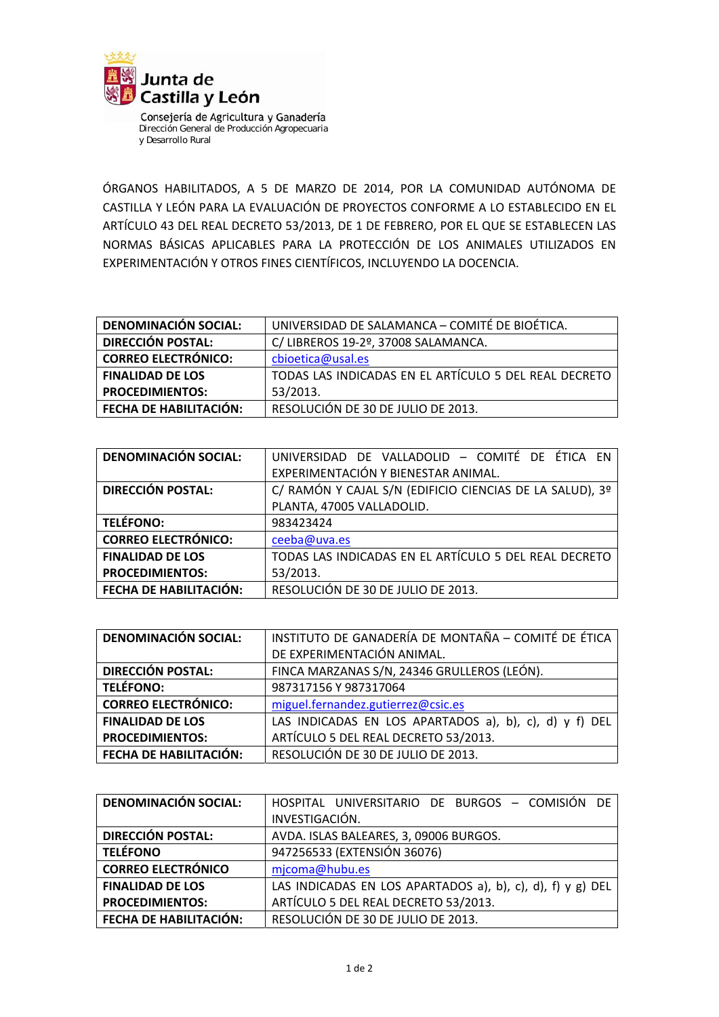

Consejería de Agricultura y Ganadería Dirección General de Producción Agropecuaria y Desarrollo Rural

ÓRGANOS HABILITADOS, A 5 DE MARZO DE 2014, POR LA COMUNIDAD AUTÓNOMA DE CASTILLA Y LEÓN PARA LA EVALUACIÓN DE PROYECTOS CONFORME A LO ESTABLECIDO EN EL ARTÍCULO 43 DEL REAL DECRETO 53/2013, DE 1 DE FEBRERO, POR EL QUE SE ESTABLECEN LAS NORMAS BÁSICAS APLICABLES PARA LA PROTECCIÓN DE LOS ANIMALES UTILIZADOS EN EXPERIMENTACIÓN Y OTROS FINES CIENTÍFICOS, INCLUYENDO LA DOCENCIA.

| <b>DENOMINACIÓN SOCIAL:</b> | UNIVERSIDAD DE SALAMANCA - COMITÉ DE BIOÉTICA.        |
|-----------------------------|-------------------------------------------------------|
| <b>DIRECCIÓN POSTAL:</b>    | C/ LIBREROS 19-2º, 37008 SALAMANCA.                   |
| <b>CORREO ELECTRÓNICO:</b>  | cbioetica@usal.es                                     |
| <b>FINALIDAD DE LOS</b>     | TODAS LAS INDICADAS EN EL ARTÍCULO 5 DEL REAL DECRETO |
| <b>PROCEDIMIENTOS:</b>      | 53/2013.                                              |
| FECHA DE HABILITACIÓN:      | RESOLUCIÓN DE 30 DE JULIO DE 2013.                    |

| <b>DENOMINACIÓN SOCIAL:</b> | UNIVERSIDAD DE VALLADOLID - COMITÉ DE ÉTICA EN           |
|-----------------------------|----------------------------------------------------------|
|                             | EXPERIMENTACIÓN Y BIENESTAR ANIMAL.                      |
| <b>DIRECCIÓN POSTAL:</b>    | C/ RAMÓN Y CAJAL S/N (EDIFICIO CIENCIAS DE LA SALUD), 3º |
|                             | PLANTA, 47005 VALLADOLID.                                |
| <b>TELÉFONO:</b>            | 983423424                                                |
| <b>CORREO ELECTRÓNICO:</b>  | ceeba@uva.es                                             |
| <b>FINALIDAD DE LOS</b>     | TODAS LAS INDICADAS EN EL ARTÍCULO 5 DEL REAL DECRETO    |
| <b>PROCEDIMIENTOS:</b>      | 53/2013.                                                 |
| FECHA DE HABILITACIÓN:      | RESOLUCIÓN DE 30 DE JULIO DE 2013.                       |

| <b>DENOMINACIÓN SOCIAL:</b> | INSTITUTO DE GANADERÍA DE MONTAÑA - COMITÉ DE ÉTICA    |
|-----------------------------|--------------------------------------------------------|
|                             | DE EXPERIMENTACIÓN ANIMAL.                             |
| <b>DIRECCIÓN POSTAL:</b>    | FINCA MARZANAS S/N, 24346 GRULLEROS (LEÓN).            |
| <b>TELÉFONO:</b>            | 987317156 Y 987317064                                  |
| <b>CORREO ELECTRÓNICO:</b>  | miguel.fernandez.gutierrez@csic.es                     |
| <b>FINALIDAD DE LOS</b>     | LAS INDICADAS EN LOS APARTADOS a), b), c), d) y f) DEL |
| <b>PROCEDIMIENTOS:</b>      | ARTÍCULO 5 DEL REAL DECRETO 53/2013.                   |
| FECHA DE HABILITACIÓN:      | RESOLUCIÓN DE 30 DE JULIO DE 2013.                     |

| <b>DENOMINACIÓN SOCIAL:</b> | HOSPITAL UNIVERSITARIO DE BURGOS - COMISIÓN DE             |
|-----------------------------|------------------------------------------------------------|
|                             | INVESTIGACIÓN.                                             |
| <b>DIRECCIÓN POSTAL:</b>    | AVDA. ISLAS BALEARES, 3, 09006 BURGOS.                     |
| <b>TELÉFONO</b>             | 947256533 (EXTENSIÓN 36076)                                |
| <b>CORREO ELECTRÓNICO</b>   | mjcoma@hubu.es                                             |
| <b>FINALIDAD DE LOS</b>     | LAS INDICADAS EN LOS APARTADOS a), b), c), d), f) y g) DEL |
| <b>PROCEDIMIENTOS:</b>      | ARTÍCULO 5 DEL REAL DECRETO 53/2013.                       |
| FECHA DE HABILITACIÓN:      | RESOLUCIÓN DE 30 DE JULIO DE 2013.                         |